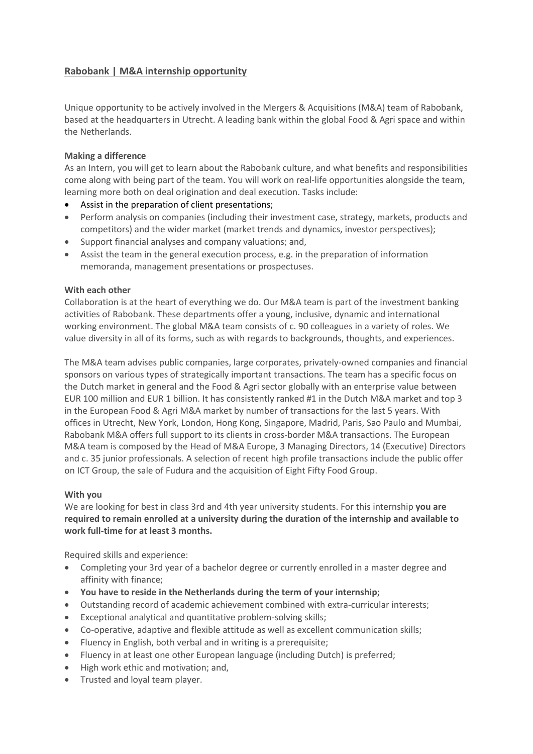# **Rabobank | M&A internship opportunity**

Unique opportunity to be actively involved in the Mergers & Acquisitions (M&A) team of Rabobank, based at the headquarters in Utrecht. A leading bank within the global Food & Agri space and within the Netherlands.

# **Making a difference**

As an Intern, you will get to learn about the Rabobank culture, and what benefits and responsibilities come along with being part of the team. You will work on real-life opportunities alongside the team, learning more both on deal origination and deal execution. Tasks include:

- Assist in the preparation of client presentations;
- Perform analysis on companies (including their investment case, strategy, markets, products and competitors) and the wider market (market trends and dynamics, investor perspectives);
- Support financial analyses and company valuations; and,
- Assist the team in the general execution process, e.g. in the preparation of information memoranda, management presentations or prospectuses.

# **With each other**

Collaboration is at the heart of everything we do. Our M&A team is part of the investment banking activities of Rabobank. These departments offer a young, inclusive, dynamic and international working environment. The global M&A team consists of c. 90 colleagues in a variety of roles. We value diversity in all of its forms, such as with regards to backgrounds, thoughts, and experiences.

The M&A team advises public companies, large corporates, privately-owned companies and financial sponsors on various types of strategically important transactions. The team has a specific focus on the Dutch market in general and the Food & Agri sector globally with an enterprise value between EUR 100 million and EUR 1 billion. It has consistently ranked #1 in the Dutch M&A market and top 3 in the European Food & Agri M&A market by number of transactions for the last 5 years. With offices in Utrecht, New York, London, Hong Kong, Singapore, Madrid, Paris, Sao Paulo and Mumbai, Rabobank M&A offers full support to its clients in cross-border M&A transactions. The European M&A team is composed by the Head of M&A Europe, 3 Managing Directors, 14 (Executive) Directors and c. 35 junior professionals. A selection of recent high profile transactions include the public offer on ICT Group, the sale of Fudura and the acquisition of Eight Fifty Food Group.

## **With you**

We are looking for best in class 3rd and 4th year university students. For this internship **you are required to remain enrolled at a university during the duration of the internship and available to work full-time for at least 3 months.**

Required skills and experience:

- Completing your 3rd year of a bachelor degree or currently enrolled in a master degree and affinity with finance;
- **You have to reside in the Netherlands during the term of your internship;**
- Outstanding record of academic achievement combined with extra-curricular interests;
- Exceptional analytical and quantitative problem-solving skills;
- Co-operative, adaptive and flexible attitude as well as excellent communication skills;
- Fluency in English, both verbal and in writing is a prerequisite;
- Fluency in at least one other European language (including Dutch) is preferred;
- High work ethic and motivation; and,
- Trusted and loyal team player.